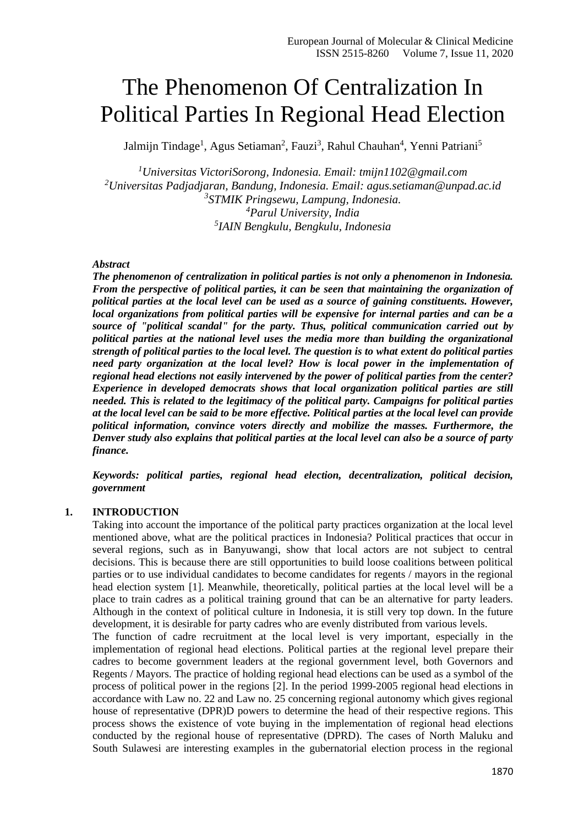# The Phenomenon Of Centralization In Political Parties In Regional Head Election

Jalmijn Tindage<sup>1</sup>, Agus Setiaman<sup>2</sup>, Fauzi<sup>3</sup>, Rahul Chauhan<sup>4</sup>, Yenni Patriani<sup>5</sup>

*Universitas VictoriSorong, Indonesia. Email: [tmijn1102@gmail.com](mailto:tmijn1102@gmail.com) Universitas Padjadjaran, Bandung, Indonesia. Email: [agus.setiaman@unpad.ac.id](mailto:agus.setiaman@unpad.ac.id) STMIK Pringsewu, Lampung, Indonesia. Parul University, India IAIN Bengkulu, Bengkulu, Indonesia*

## *Abstract*

*The phenomenon of centralization in political parties is not only a phenomenon in Indonesia. From the perspective of political parties, it can be seen that maintaining the organization of political parties at the local level can be used as a source of gaining constituents. However, local organizations from political parties will be expensive for internal parties and can be a source of "political scandal" for the party. Thus, political communication carried out by political parties at the national level uses the media more than building the organizational strength of political parties to the local level. The question is to what extent do political parties need party organization at the local level? How is local power in the implementation of regional head elections not easily intervened by the power of political parties from the center? Experience in developed democrats shows that local organization political parties are still needed. This is related to the legitimacy of the political party. Campaigns for political parties at the local level can be said to be more effective. Political parties at the local level can provide political information, convince voters directly and mobilize the masses. Furthermore, the Denver study also explains that political parties at the local level can also be a source of party finance.*

*Keywords: political parties, regional head election, decentralization, political decision, government*

#### **1. INTRODUCTION**

Taking into account the importance of the political party practices organization at the local level mentioned above, what are the political practices in Indonesia? Political practices that occur in several regions, such as in Banyuwangi, show that local actors are not subject to central decisions. This is because there are still opportunities to build loose coalitions between political parties or to use individual candidates to become candidates for regents / mayors in the regional head election system [1]. Meanwhile, theoretically, political parties at the local level will be a place to train cadres as a political training ground that can be an alternative for party leaders. Although in the context of political culture in Indonesia, it is still very top down. In the future development, it is desirable for party cadres who are evenly distributed from various levels.

The function of cadre recruitment at the local level is very important, especially in the implementation of regional head elections. Political parties at the regional level prepare their cadres to become government leaders at the regional government level, both Governors and Regents / Mayors. The practice of holding regional head elections can be used as a symbol of the process of political power in the regions [2]. In the period 1999-2005 regional head elections in accordance with Law no. 22 and Law no. 25 concerning regional autonomy which gives regional house of representative (DPR)D powers to determine the head of their respective regions. This process shows the existence of vote buying in the implementation of regional head elections conducted by the regional house of representative (DPRD). The cases of North Maluku and South Sulawesi are interesting examples in the gubernatorial election process in the regional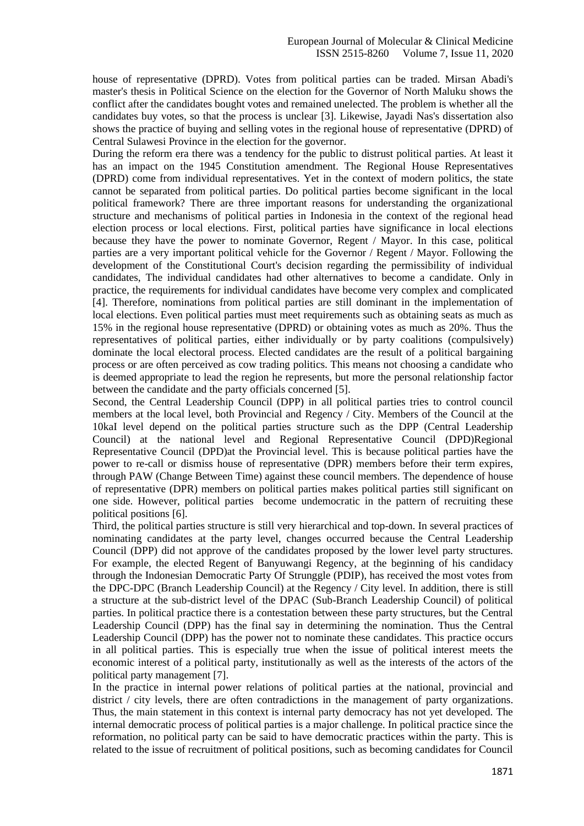house of representative (DPRD). Votes from political parties can be traded. Mirsan Abadi's master's thesis in Political Science on the election for the Governor of North Maluku shows the conflict after the candidates bought votes and remained unelected. The problem is whether all the candidates buy votes, so that the process is unclear [3]. Likewise, Jayadi Nas's dissertation also shows the practice of buying and selling votes in the regional house of representative (DPRD) of Central Sulawesi Province in the election for the governor.

During the reform era there was a tendency for the public to distrust political parties. At least it has an impact on the 1945 Constitution amendment. The Regional House Representatives (DPRD) come from individual representatives. Yet in the context of modern politics, the state cannot be separated from political parties. Do political parties become significant in the local political framework? There are three important reasons for understanding the organizational structure and mechanisms of political parties in Indonesia in the context of the regional head election process or local elections. First, political parties have significance in local elections because they have the power to nominate Governor, Regent / Mayor. In this case, political parties are a very important political vehicle for the Governor / Regent / Mayor. Following the development of the Constitutional Court's decision regarding the permissibility of individual candidates, The individual candidates had other alternatives to become a candidate. Only in practice, the requirements for individual candidates have become very complex and complicated [4]. Therefore, nominations from political parties are still dominant in the implementation of local elections. Even political parties must meet requirements such as obtaining seats as much as 15% in the regional house representative (DPRD) or obtaining votes as much as 20%. Thus the representatives of political parties, either individually or by party coalitions (compulsively) dominate the local electoral process. Elected candidates are the result of a political bargaining process or are often perceived as cow trading politics. This means not choosing a candidate who is deemed appropriate to lead the region he represents, but more the personal relationship factor between the candidate and the party officials concerned [5].

Second, the Central Leadership Council (DPP) in all political parties tries to control council members at the local level, both Provincial and Regency / City. Members of the Council at the 10kaI level depend on the political parties structure such as the DPP (Central Leadership Council) at the national level and Regional Representative Council (DPD)Regional Representative Council (DPD)at the Provincial level. This is because political parties have the power to re-call or dismiss house of representative (DPR) members before their term expires, through PAW (Change Between Time) against these council members. The dependence of house of representative (DPR) members on political parties makes political parties still significant on one side. However, political parties become undemocratic in the pattern of recruiting these political positions [6].

Third, the political parties structure is still very hierarchical and top-down. In several practices of nominating candidates at the party level, changes occurred because the Central Leadership Council (DPP) did not approve of the candidates proposed by the lower level party structures. For example, the elected Regent of Banyuwangi Regency, at the beginning of his candidacy through the Indonesian Democratic Party Of Strunggle (PDIP), has received the most votes from the DPC-DPC (Branch Leadership Council) at the Regency / City level. In addition, there is still a structure at the sub-district level of the DPAC (Sub-Branch Leadership Council) of political parties. In political practice there is a contestation between these party structures, but the Central Leadership Council (DPP) has the final say in determining the nomination. Thus the Central Leadership Council (DPP) has the power not to nominate these candidates. This practice occurs in all political parties. This is especially true when the issue of political interest meets the economic interest of a political party, institutionally as well as the interests of the actors of the political party management [7].

In the practice in internal power relations of political parties at the national, provincial and district / city levels, there are often contradictions in the management of party organizations. Thus, the main statement in this context is internal party democracy has not yet developed. The internal democratic process of political parties is a major challenge. In political practice since the reformation, no political party can be said to have democratic practices within the party. This is related to the issue of recruitment of political positions, such as becoming candidates for Council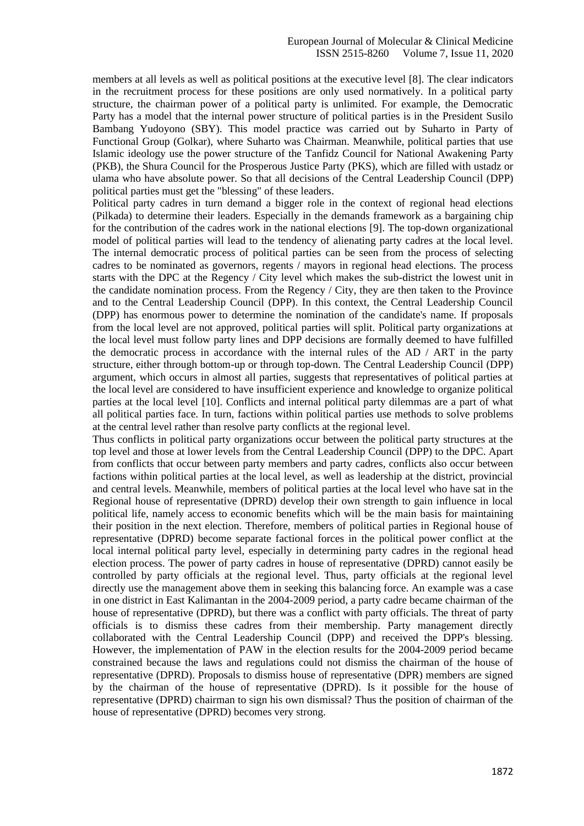members at all levels as well as political positions at the executive level [8]. The clear indicators in the recruitment process for these positions are only used normatively. In a political party structure, the chairman power of a political party is unlimited. For example, the Democratic Party has a model that the internal power structure of political parties is in the President Susilo Bambang Yudoyono (SBY). This model practice was carried out by Suharto in Party of Functional Group (Golkar), where Suharto was Chairman. Meanwhile, political parties that use Islamic ideology use the power structure of the Tanfidz Council for National Awakening Party (PKB), the Shura Council for the Prosperous Justice Party (PKS), which are filled with ustadz or ulama who have absolute power. So that all decisions of the Central Leadership Council (DPP) political parties must get the "blessing" of these leaders.

Political party cadres in turn demand a bigger role in the context of regional head elections (Pilkada) to determine their leaders. Especially in the demands framework as a bargaining chip for the contribution of the cadres work in the national elections [9]. The top-down organizational model of political parties will lead to the tendency of alienating party cadres at the local level. The internal democratic process of political parties can be seen from the process of selecting cadres to be nominated as governors, regents / mayors in regional head elections. The process starts with the DPC at the Regency / City level which makes the sub-district the lowest unit in the candidate nomination process. From the Regency / City, they are then taken to the Province and to the Central Leadership Council (DPP). In this context, the Central Leadership Council (DPP) has enormous power to determine the nomination of the candidate's name. If proposals from the local level are not approved, political parties will split. Political party organizations at the local level must follow party lines and DPP decisions are formally deemed to have fulfilled the democratic process in accordance with the internal rules of the AD / ART in the party structure, either through bottom-up or through top-down. The Central Leadership Council (DPP) argument, which occurs in almost all parties, suggests that representatives of political parties at the local level are considered to have insufficient experience and knowledge to organize political parties at the local level [10]. Conflicts and internal political party dilemmas are a part of what all political parties face. In turn, factions within political parties use methods to solve problems at the central level rather than resolve party conflicts at the regional level.

Thus conflicts in political party organizations occur between the political party structures at the top level and those at lower levels from the Central Leadership Council (DPP) to the DPC. Apart from conflicts that occur between party members and party cadres, conflicts also occur between factions within political parties at the local level, as well as leadership at the district, provincial and central levels. Meanwhile, members of political parties at the local level who have sat in the Regional house of representative (DPRD) develop their own strength to gain influence in local political life, namely access to economic benefits which will be the main basis for maintaining their position in the next election. Therefore, members of political parties in Regional house of representative (DPRD) become separate factional forces in the political power conflict at the local internal political party level, especially in determining party cadres in the regional head election process. The power of party cadres in house of representative (DPRD) cannot easily be controlled by party officials at the regional level. Thus, party officials at the regional level directly use the management above them in seeking this balancing force. An example was a case in one district in East Kalimantan in the 2004-2009 period, a party cadre became chairman of the house of representative (DPRD), but there was a conflict with party officials. The threat of party officials is to dismiss these cadres from their membership. Party management directly collaborated with the Central Leadership Council (DPP) and received the DPP's blessing. However, the implementation of PAW in the election results for the 2004-2009 period became constrained because the laws and regulations could not dismiss the chairman of the house of representative (DPRD). Proposals to dismiss house of representative (DPR) members are signed by the chairman of the house of representative (DPRD). Is it possible for the house of representative (DPRD) chairman to sign his own dismissal? Thus the position of chairman of the house of representative (DPRD) becomes very strong.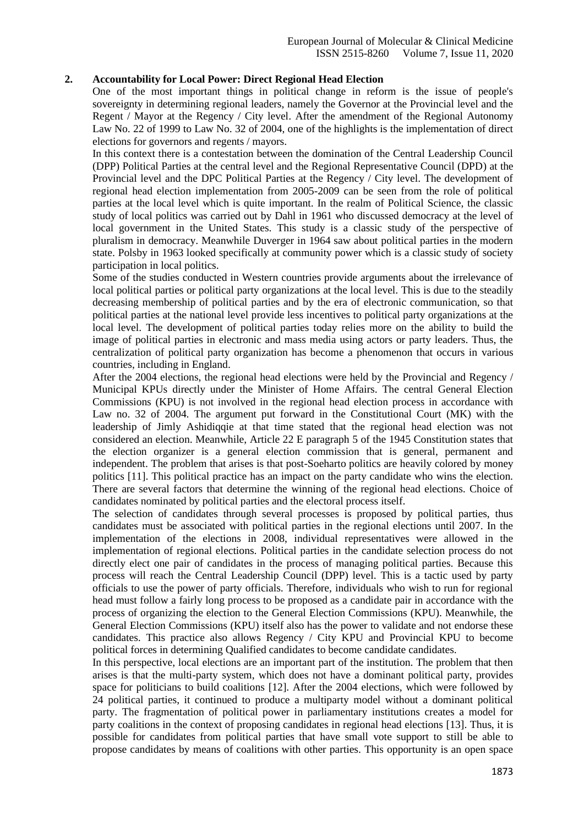## **2. Accountability for Local Power: Direct Regional Head Election**

One of the most important things in political change in reform is the issue of people's sovereignty in determining regional leaders, namely the Governor at the Provincial level and the Regent / Mayor at the Regency / City level. After the amendment of the Regional Autonomy Law No. 22 of 1999 to Law No. 32 of 2004, one of the highlights is the implementation of direct elections for governors and regents / mayors.

In this context there is a contestation between the domination of the Central Leadership Council (DPP) Political Parties at the central level and the Regional Representative Council (DPD) at the Provincial level and the DPC Political Parties at the Regency / City level. The development of regional head election implementation from 2005-2009 can be seen from the role of political parties at the local level which is quite important. In the realm of Political Science, the classic study of local politics was carried out by Dahl in 1961 who discussed democracy at the level of local government in the United States. This study is a classic study of the perspective of pluralism in democracy. Meanwhile Duverger in 1964 saw about political parties in the modern state. Polsby in 1963 looked specifically at community power which is a classic study of society participation in local politics.

Some of the studies conducted in Western countries provide arguments about the irrelevance of local political parties or political party organizations at the local level. This is due to the steadily decreasing membership of political parties and by the era of electronic communication, so that political parties at the national level provide less incentives to political party organizations at the local level. The development of political parties today relies more on the ability to build the image of political parties in electronic and mass media using actors or party leaders. Thus, the centralization of political party organization has become a phenomenon that occurs in various countries, including in England.

After the 2004 elections, the regional head elections were held by the Provincial and Regency / Municipal KPUs directly under the Minister of Home Affairs. The central General Election Commissions (KPU) is not involved in the regional head election process in accordance with Law no. 32 of 2004. The argument put forward in the Constitutional Court (MK) with the leadership of Jimly Ashidiqqie at that time stated that the regional head election was not considered an election. Meanwhile, Article 22 E paragraph 5 of the 1945 Constitution states that the election organizer is a general election commission that is general, permanent and independent. The problem that arises is that post-Soeharto politics are heavily colored by money politics [11]. This political practice has an impact on the party candidate who wins the election. There are several factors that determine the winning of the regional head elections. Choice of candidates nominated by political parties and the electoral process itself.

The selection of candidates through several processes is proposed by political parties, thus candidates must be associated with political parties in the regional elections until 2007. In the implementation of the elections in 2008, individual representatives were allowed in the implementation of regional elections. Political parties in the candidate selection process do not directly elect one pair of candidates in the process of managing political parties. Because this process will reach the Central Leadership Council (DPP) level. This is a tactic used by party officials to use the power of party officials. Therefore, individuals who wish to run for regional head must follow a fairly long process to be proposed as a candidate pair in accordance with the process of organizing the election to the General Election Commissions (KPU). Meanwhile, the General Election Commissions (KPU) itself also has the power to validate and not endorse these candidates. This practice also allows Regency / City KPU and Provincial KPU to become political forces in determining Qualified candidates to become candidate candidates.

In this perspective, local elections are an important part of the institution. The problem that then arises is that the multi-party system, which does not have a dominant political party, provides space for politicians to build coalitions [12]. After the 2004 elections, which were followed by 24 political parties, it continued to produce a multiparty model without a dominant political party. The fragmentation of political power in parliamentary institutions creates a model for party coalitions in the context of proposing candidates in regional head elections [13]. Thus, it is possible for candidates from political parties that have small vote support to still be able to propose candidates by means of coalitions with other parties. This opportunity is an open space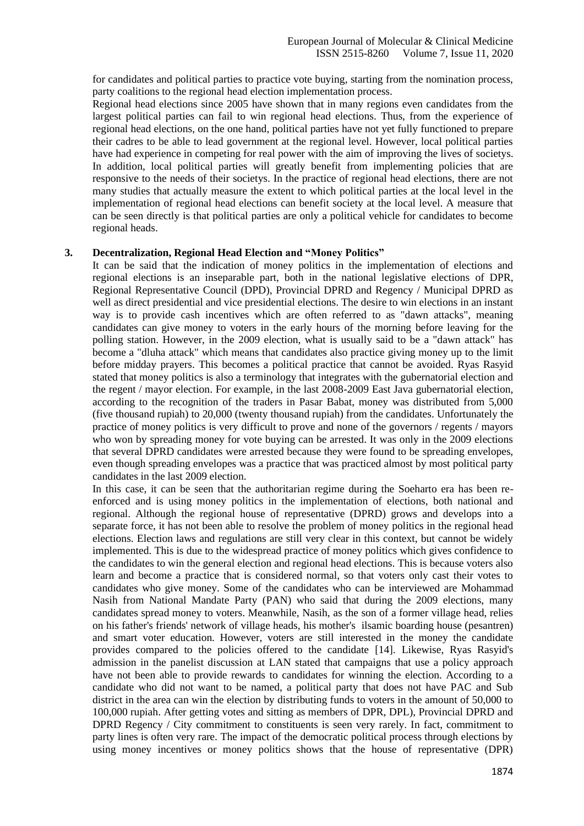for candidates and political parties to practice vote buying, starting from the nomination process, party coalitions to the regional head election implementation process.

Regional head elections since 2005 have shown that in many regions even candidates from the largest political parties can fail to win regional head elections. Thus, from the experience of regional head elections, on the one hand, political parties have not yet fully functioned to prepare their cadres to be able to lead government at the regional level. However, local political parties have had experience in competing for real power with the aim of improving the lives of societys. In addition, local political parties will greatly benefit from implementing policies that are responsive to the needs of their societys. In the practice of regional head elections, there are not many studies that actually measure the extent to which political parties at the local level in the implementation of regional head elections can benefit society at the local level. A measure that can be seen directly is that political parties are only a political vehicle for candidates to become regional heads.

## **3. Decentralization, Regional Head Election and "Money Politics"**

It can be said that the indication of money politics in the implementation of elections and regional elections is an inseparable part, both in the national legislative elections of DPR, Regional Representative Council (DPD), Provincial DPRD and Regency / Municipal DPRD as well as direct presidential and vice presidential elections. The desire to win elections in an instant way is to provide cash incentives which are often referred to as "dawn attacks", meaning candidates can give money to voters in the early hours of the morning before leaving for the polling station. However, in the 2009 election, what is usually said to be a "dawn attack" has become a "dluha attack" which means that candidates also practice giving money up to the limit before midday prayers. This becomes a political practice that cannot be avoided. Ryas Rasyid stated that money politics is also a terminology that integrates with the gubernatorial election and the regent / mayor election. For example, in the last 2008-2009 East Java gubernatorial election, according to the recognition of the traders in Pasar Babat, money was distributed from 5,000 (five thousand rupiah) to 20,000 (twenty thousand rupiah) from the candidates. Unfortunately the practice of money politics is very difficult to prove and none of the governors / regents / mayors who won by spreading money for vote buying can be arrested. It was only in the 2009 elections that several DPRD candidates were arrested because they were found to be spreading envelopes, even though spreading envelopes was a practice that was practiced almost by most political party candidates in the last 2009 election.

In this case, it can be seen that the authoritarian regime during the Soeharto era has been reenforced and is using money politics in the implementation of elections, both national and regional. Although the regional house of representative (DPRD) grows and develops into a separate force, it has not been able to resolve the problem of money politics in the regional head elections. Election laws and regulations are still very clear in this context, but cannot be widely implemented. This is due to the widespread practice of money politics which gives confidence to the candidates to win the general election and regional head elections. This is because voters also learn and become a practice that is considered normal, so that voters only cast their votes to candidates who give money. Some of the candidates who can be interviewed are Mohammad Nasih from National Mandate Party (PAN) who said that during the 2009 elections, many candidates spread money to voters. Meanwhile, Nasih, as the son of a former village head, relies on his father's friends' network of village heads, his mother's ilsamic boarding house (pesantren) and smart voter education. However, voters are still interested in the money the candidate provides compared to the policies offered to the candidate [14]. Likewise, Ryas Rasyid's admission in the panelist discussion at LAN stated that campaigns that use a policy approach have not been able to provide rewards to candidates for winning the election. According to a candidate who did not want to be named, a political party that does not have PAC and Sub district in the area can win the election by distributing funds to voters in the amount of 50,000 to 100,000 rupiah. After getting votes and sitting as members of DPR, DPL), Provincial DPRD and DPRD Regency / City commitment to constituents is seen very rarely. In fact, commitment to party lines is often very rare. The impact of the democratic political process through elections by using money incentives or money politics shows that the house of representative (DPR)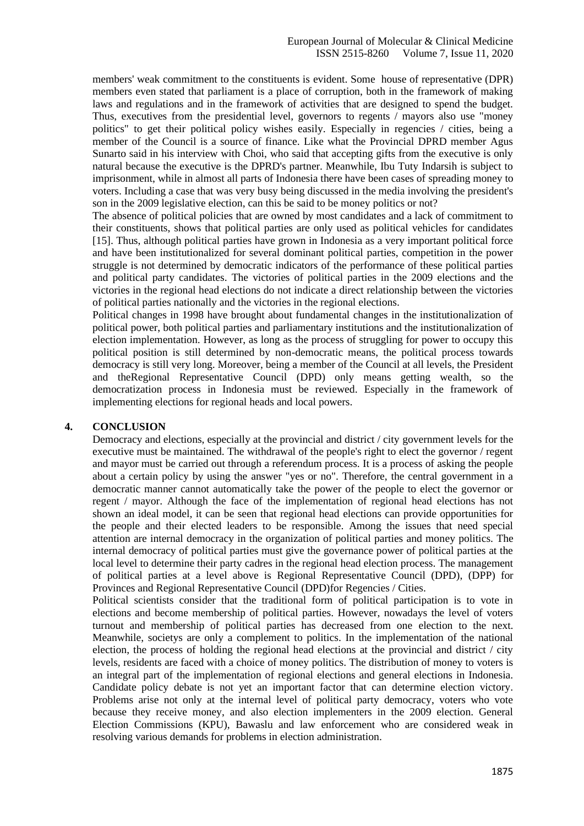members' weak commitment to the constituents is evident. Some house of representative (DPR) members even stated that parliament is a place of corruption, both in the framework of making laws and regulations and in the framework of activities that are designed to spend the budget. Thus, executives from the presidential level, governors to regents / mayors also use "money politics" to get their political policy wishes easily. Especially in regencies / cities, being a member of the Council is a source of finance. Like what the Provincial DPRD member Agus Sunarto said in his interview with Choi, who said that accepting gifts from the executive is only natural because the executive is the DPRD's partner. Meanwhile, Ibu Tuty Indarsih is subject to imprisonment, while in almost all parts of Indonesia there have been cases of spreading money to voters. Including a case that was very busy being discussed in the media involving the president's son in the 2009 legislative election, can this be said to be money politics or not?

The absence of political policies that are owned by most candidates and a lack of commitment to their constituents, shows that political parties are only used as political vehicles for candidates [15]. Thus, although political parties have grown in Indonesia as a very important political force and have been institutionalized for several dominant political parties, competition in the power struggle is not determined by democratic indicators of the performance of these political parties and political party candidates. The victories of political parties in the 2009 elections and the victories in the regional head elections do not indicate a direct relationship between the victories of political parties nationally and the victories in the regional elections.

Political changes in 1998 have brought about fundamental changes in the institutionalization of political power, both political parties and parliamentary institutions and the institutionalization of election implementation. However, as long as the process of struggling for power to occupy this political position is still determined by non-democratic means, the political process towards democracy is still very long. Moreover, being a member of the Council at all levels, the President and theRegional Representative Council (DPD) only means getting wealth, so the democratization process in Indonesia must be reviewed. Especially in the framework of implementing elections for regional heads and local powers.

## **4. CONCLUSION**

Democracy and elections, especially at the provincial and district / city government levels for the executive must be maintained. The withdrawal of the people's right to elect the governor / regent and mayor must be carried out through a referendum process. It is a process of asking the people about a certain policy by using the answer "yes or no". Therefore, the central government in a democratic manner cannot automatically take the power of the people to elect the governor or regent / mayor. Although the face of the implementation of regional head elections has not shown an ideal model, it can be seen that regional head elections can provide opportunities for the people and their elected leaders to be responsible. Among the issues that need special attention are internal democracy in the organization of political parties and money politics. The internal democracy of political parties must give the governance power of political parties at the local level to determine their party cadres in the regional head election process. The management of political parties at a level above is Regional Representative Council (DPD), (DPP) for Provinces and Regional Representative Council (DPD)for Regencies / Cities.

Political scientists consider that the traditional form of political participation is to vote in elections and become membership of political parties. However, nowadays the level of voters turnout and membership of political parties has decreased from one election to the next. Meanwhile, societys are only a complement to politics. In the implementation of the national election, the process of holding the regional head elections at the provincial and district / city levels, residents are faced with a choice of money politics. The distribution of money to voters is an integral part of the implementation of regional elections and general elections in Indonesia. Candidate policy debate is not yet an important factor that can determine election victory. Problems arise not only at the internal level of political party democracy, voters who vote because they receive money, and also election implementers in the 2009 election. General Election Commissions (KPU), Bawaslu and law enforcement who are considered weak in resolving various demands for problems in election administration.